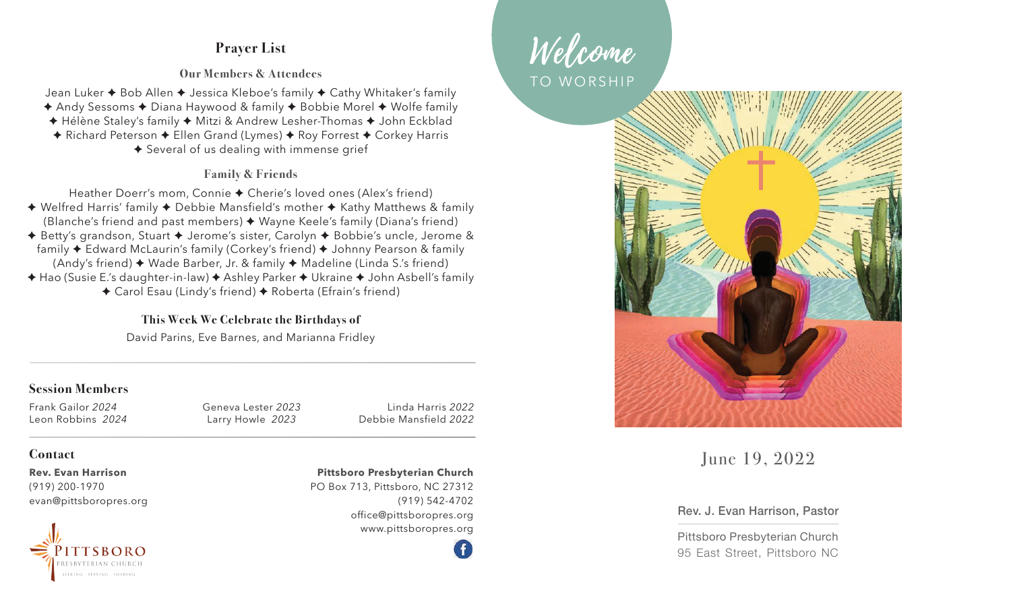# **Prayer List**

### **Our Members & Attendees**

Jean Luker ✦ Bob Allen ✦ Jessica Kleboe's family ✦ Cathy Whitaker's family

✦ Andy Sessoms ✦ Diana Haywood & family ✦ Bobbie Morel ✦ Wolfe family

- ✦ Hélène Staley's family ✦ Mitzi & Andrew Lesher-Thomas ✦ John Eckblad
- ✦ Richard Peterson ✦ Ellen Grand (Lymes) ✦ Roy Forrest ✦ Corkey Harris
	- ✦ Several of us dealing with immense grief

## **Family & Friends**

Heather Doerr's mom, Connie ✦ Cherie's loved ones (Alex's friend)

- ✦ Welfred Harris' family ✦ Debbie Mansfield's mother ✦ Kathy Matthews & family (Blanche's friend and past members) ✦ Wayne Keele's family (Diana's friend)
- ✦ Betty's grandson, Stuart ✦ Jerome's sister, Carolyn ✦ Bobbie's uncle, Jerome & family ✦ Edward McLaurin's family (Corkey's friend) ✦ Johnny Pearson & family (Andy's friend) ✦ Wade Barber, Jr. & family ✦ Madeline (Linda S.'s friend)
- ✦ Hao (Susie E.'s daughter-in-law) ✦ Ashley Parker ✦ Ukraine ✦ John Asbell's family
	- ✦ Carol Esau (Lindy's friend) ✦ Roberta (Efrain's friend)

## **This Week We Celebrate the Birthdays of**

David Parins, Eve Barnes, and Marianna Fridley

## **Session Members**

Frank Gailor *2024* Leon Robbins *2024* Geneva Lester *2023* Larry Howle *2023*

Linda Harris *2022*  Debbie Mansfield *2022*

### **Contact**

**Rev. Evan Harrison**  (919) 200-1970 evan@pittsboropres.org



#### **Pittsboro Presbyterian Church**

PO Box 713, Pittsboro, NC 27312 (919) 542-4702 office@pittsboropres.org www.pittsboropres.org Welcome TO WORSHIP



June 19, 2022

### Rev. J. Evan Harrison, Pastor

Pittsboro Presbyterian Church 95 East Street, Pittsboro NC